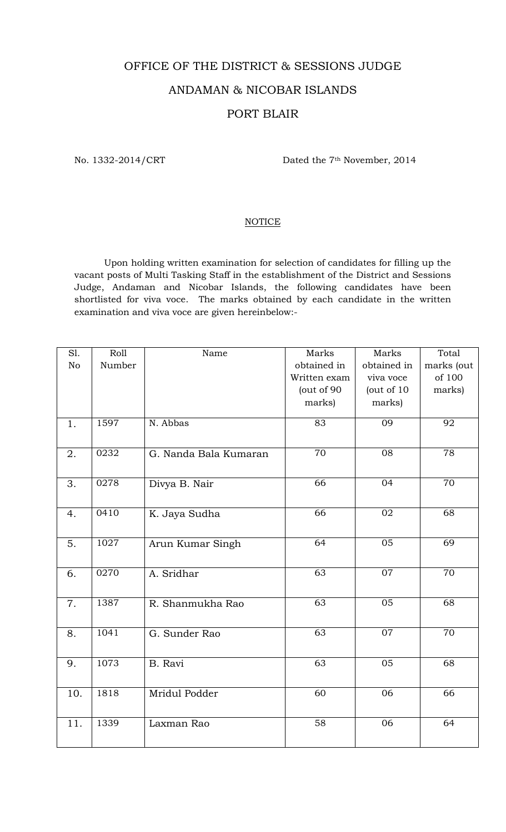## OFFICE OF THE DISTRICT & SESSIONS JUDGE ANDAMAN & NICOBAR ISLANDS PORT BLAIR

No. 1332-2014/CRT Dated the 7<sup>th</sup> November, 2014

## **NOTICE**

 Upon holding written examination for selection of candidates for filling up the vacant posts of Multi Tasking Staff in the establishment of the District and Sessions Judge, Andaman and Nicobar Islands, the following candidates have been shortlisted for viva voce. The marks obtained by each candidate in the written examination and viva voce are given hereinbelow:-

| Roll   | Name                                         | Marks                                                                                                    | Marks                                                                                            | Total                                                                               |
|--------|----------------------------------------------|----------------------------------------------------------------------------------------------------------|--------------------------------------------------------------------------------------------------|-------------------------------------------------------------------------------------|
| Number |                                              | obtained in                                                                                              | obtained in                                                                                      | marks (out                                                                          |
|        |                                              | Written exam                                                                                             | viva voce                                                                                        | of 100                                                                              |
|        |                                              | (out of 90                                                                                               | (out of 10                                                                                       | marks)                                                                              |
|        |                                              | marks)                                                                                                   | marks)                                                                                           |                                                                                     |
|        |                                              |                                                                                                          |                                                                                                  |                                                                                     |
|        |                                              |                                                                                                          |                                                                                                  | 92                                                                                  |
|        |                                              |                                                                                                          |                                                                                                  |                                                                                     |
| 0232   | G. Nanda Bala Kumaran                        | $\overline{7}0$                                                                                          | 08                                                                                               | 78                                                                                  |
|        |                                              |                                                                                                          |                                                                                                  |                                                                                     |
|        |                                              |                                                                                                          |                                                                                                  | 70                                                                                  |
|        |                                              |                                                                                                          |                                                                                                  |                                                                                     |
|        |                                              |                                                                                                          |                                                                                                  |                                                                                     |
|        |                                              |                                                                                                          |                                                                                                  | 68                                                                                  |
|        |                                              |                                                                                                          |                                                                                                  |                                                                                     |
| 1027   | Arun Kumar Singh                             | 64                                                                                                       | $\overline{05}$                                                                                  | 69                                                                                  |
|        |                                              |                                                                                                          |                                                                                                  |                                                                                     |
|        |                                              |                                                                                                          |                                                                                                  | 70                                                                                  |
|        |                                              |                                                                                                          |                                                                                                  |                                                                                     |
|        |                                              |                                                                                                          |                                                                                                  |                                                                                     |
|        |                                              |                                                                                                          |                                                                                                  | 68                                                                                  |
|        |                                              |                                                                                                          |                                                                                                  |                                                                                     |
| 1041   | G. Sunder Rao                                |                                                                                                          |                                                                                                  | 70                                                                                  |
|        |                                              |                                                                                                          |                                                                                                  |                                                                                     |
| 1073   |                                              |                                                                                                          |                                                                                                  | 68                                                                                  |
|        |                                              |                                                                                                          |                                                                                                  |                                                                                     |
|        |                                              |                                                                                                          |                                                                                                  |                                                                                     |
|        |                                              |                                                                                                          |                                                                                                  | 66                                                                                  |
|        |                                              |                                                                                                          |                                                                                                  |                                                                                     |
| 1339   | Laxman Rao                                   | 58                                                                                                       | 06                                                                                               | 64                                                                                  |
|        |                                              |                                                                                                          |                                                                                                  |                                                                                     |
|        | 1597<br>0278<br>0410<br>0270<br>1387<br>1818 | N. Abbas<br>Divya B. Nair<br>K. Jaya Sudha<br>A. Sridhar<br>R. Shanmukha Rao<br>B. Ravi<br>Mridul Podder | 83<br>$\overline{66}$<br>66<br>63<br>$\overline{63}$<br>$\overline{63}$<br>$\overline{63}$<br>60 | $\overline{09}$<br>04<br>02<br>07<br>$\overline{05}$<br>$\overline{07}$<br>05<br>06 |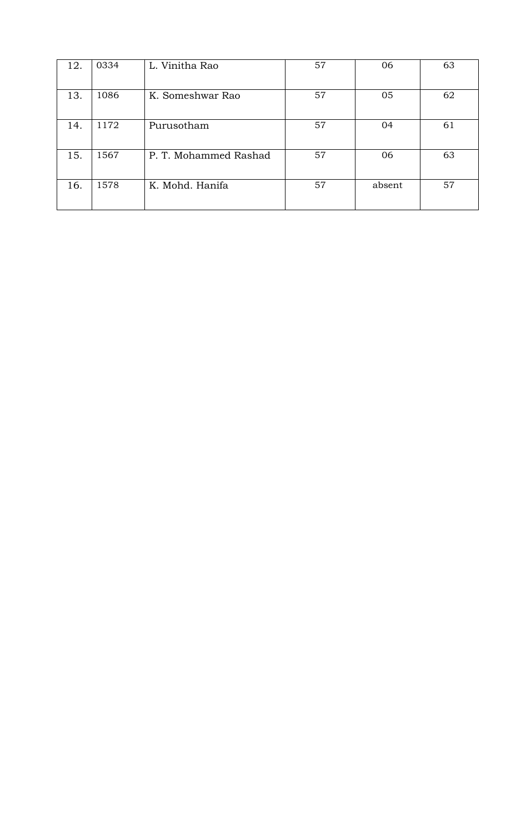| 12. | 0334 | L. Vinitha Rao        | 57 | 06     | 63 |
|-----|------|-----------------------|----|--------|----|
| 13. | 1086 | K. Someshwar Rao      | 57 | 05     | 62 |
| 14. | 1172 | Purusotham            | 57 | 04     | 61 |
| 15. | 1567 | P. T. Mohammed Rashad | 57 | 06     | 63 |
| 16. | 1578 | K. Mohd. Hanifa       | 57 | absent | 57 |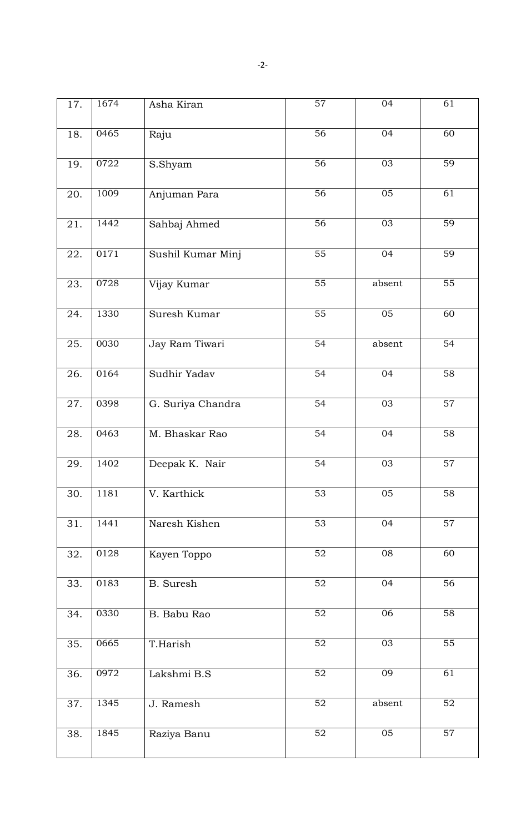| 17. | 1674 | Asha Kiran        | 57              | 04              | 61              |
|-----|------|-------------------|-----------------|-----------------|-----------------|
| 18. | 0465 | Raju              | 56              | 04              | 60              |
| 19. | 0722 | S.Shyam           | 56              | 03              | 59              |
| 20. | 1009 | Anjuman Para      | $\overline{56}$ | 05              | $\overline{61}$ |
| 21. | 1442 | Sahbaj Ahmed      | $\overline{56}$ | 03              | 59              |
| 22. | 0171 | Sushil Kumar Minj | 55              | 04              | 59              |
| 23. | 0728 | Vijay Kumar       | $\overline{55}$ | absent          | $\overline{55}$ |
| 24. | 1330 | Suresh Kumar      | $\overline{55}$ | 05              | 60              |
| 25. | 0030 | Jay Ram Tiwari    | $\overline{54}$ | absent          | $\overline{54}$ |
| 26. | 0164 | Sudhir Yadav      | $\overline{54}$ | 04              | $\overline{58}$ |
| 27. | 0398 | G. Suriya Chandra | 54              | 03              | $\overline{57}$ |
| 28. | 0463 | M. Bhaskar Rao    | $\overline{54}$ | 04              | 58              |
| 29. | 1402 | Deepak K. Nair    | 54              | 03              | 57              |
| 30. | 1181 | V. Karthick       | $\overline{53}$ | $\overline{05}$ | $\overline{58}$ |
| 31. | 1441 | Naresh Kishen     | 53              | 04              | $\overline{57}$ |
| 32. | 0128 | Kayen Toppo       | 52              | 08              | 60              |
| 33. | 0183 | B. Suresh         | 52              | 04              | 56              |
| 34. | 0330 | B. Babu Rao       | 52              | 06              | 58              |
| 35. | 0665 | T.Harish          | 52              | 03              | 55              |
| 36. | 0972 | Lakshmi B.S       | 52              | 09              | 61              |
| 37. | 1345 | J. Ramesh         | 52              | absent          | 52              |
| 38. | 1845 | Raziya Banu       | 52              | 05              | 57              |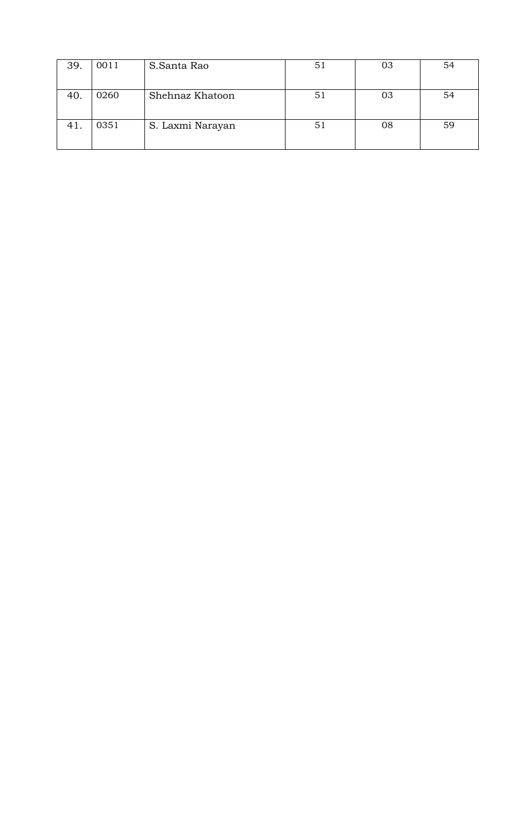| 39. | 0011 | S.Santa Rao      | $5^{\degree}$ | 03 | 54 |
|-----|------|------------------|---------------|----|----|
| 40. | 0260 | Shehnaz Khatoon  | $5^{\degree}$ | 03 | 54 |
| 41. | 0351 | S. Laxmi Narayan | 51            | 08 | 59 |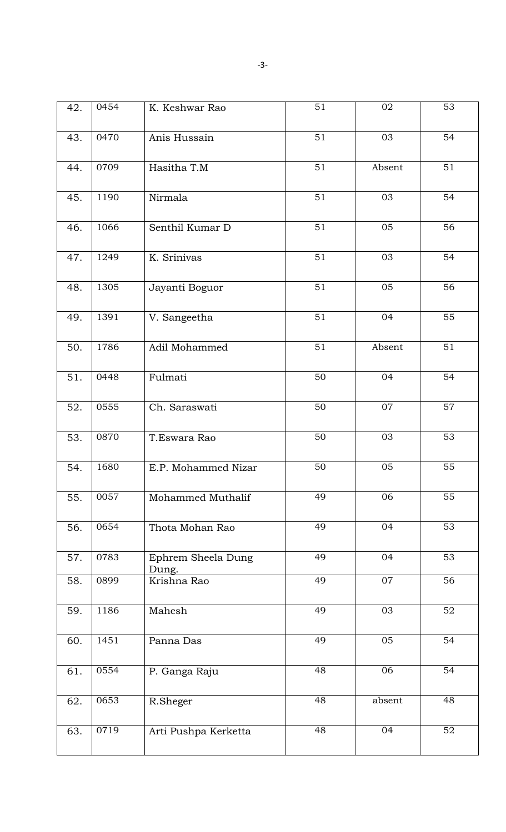| 42. | 0454 | K. Keshwar Rao              | 51              | 02              | 53              |
|-----|------|-----------------------------|-----------------|-----------------|-----------------|
| 43. | 0470 | Anis Hussain                | $\overline{51}$ | 03              | 54              |
| 44. | 0709 | Hasitha T.M                 | $\overline{51}$ | Absent          | 51              |
| 45. | 1190 | Nirmala                     | $\overline{51}$ | $\overline{03}$ | 54              |
| 46. | 1066 | Senthil Kumar D             | $\overline{51}$ | 05              | 56              |
| 47. | 1249 | K. Srinivas                 | $\overline{51}$ | 03              | $\overline{54}$ |
| 48. | 1305 | Jayanti Boguor              | $\overline{51}$ | 05              | 56              |
| 49. | 1391 | V. Sangeetha                | 51              | 04              | 55              |
| 50. | 1786 | Adil Mohammed               | 51              | Absent          | 51              |
| 51. | 0448 | Fulmati                     | $\overline{50}$ | 04              | 54              |
| 52. | 0555 | Ch. Saraswati               | $\overline{50}$ | 07              | 57              |
| 53. | 0870 | T.Eswara Rao                | 50              | 03              | $\overline{53}$ |
| 54. | 1680 | E.P. Mohammed Nizar         | 50              | 05              | 55              |
| 55. | 0057 | Mohammed Muthalif           | 49              | 06              | 55              |
| 56. | 0654 | Thota Mohan Rao             | 49              | 04              | 53              |
| 57. | 0783 | Ephrem Sheela Dung<br>Dung. | 49              | 04              | 53              |
| 58. | 0899 | Krishna Rao                 | 49              | 07              | $\overline{56}$ |
| 59. | 1186 | Mahesh                      | 49              | 03              | 52              |
| 60. | 1451 | Panna Das                   | 49              | 05              | 54              |
| 61. | 0554 | P. Ganga Raju               | 48              | 06              | 54              |
| 62. | 0653 | R.Sheger                    | 48              | absent          | 48              |
| 63. | 0719 | Arti Pushpa Kerketta        | 48              | 04              | 52              |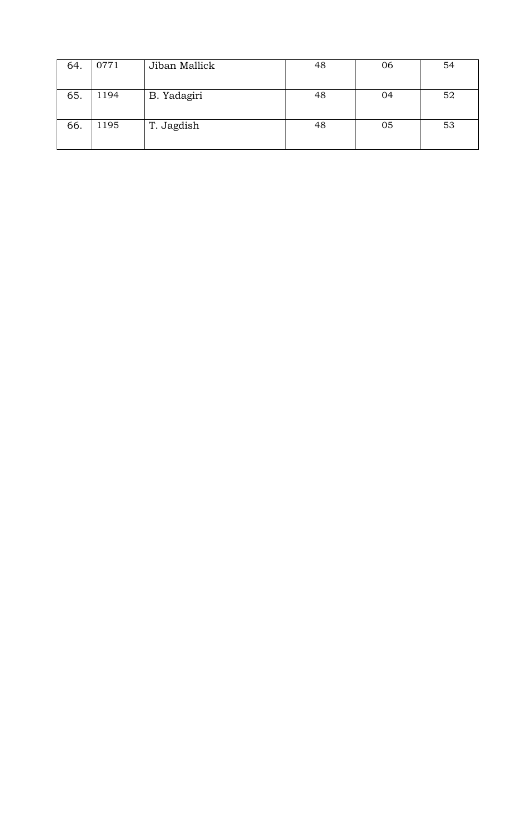| 64. | 0771 | Jiban Mallick | 48 | 06 | 54 |
|-----|------|---------------|----|----|----|
|     |      |               |    |    |    |
| 65. | 1194 | B. Yadagiri   | 48 | 04 | 52 |
| 66. | 1195 | T. Jagdish    | 48 | 05 | 53 |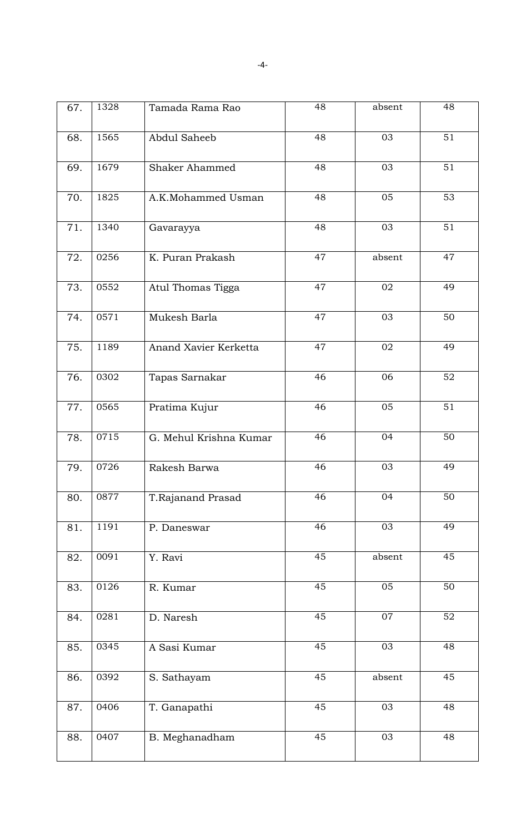| 67. | 1328             | Tamada Rama Rao        | 48 | absent          | 48              |
|-----|------------------|------------------------|----|-----------------|-----------------|
| 68. | 1565             | Abdul Saheeb           | 48 | 03              | 51              |
|     |                  |                        |    |                 |                 |
| 69. | 1679             | <b>Shaker Ahammed</b>  | 48 | 03              | 51              |
| 70. | 1825             | A.K.Mohammed Usman     | 48 | 05              | 53              |
| 71. | 1340             | Gavarayya              | 48 | 03              | $\overline{51}$ |
| 72. | 0256             | K. Puran Prakash       | 47 | absent          | 47              |
| 73. | 0552             | Atul Thomas Tigga      | 47 | 02              | 49              |
| 74. | 0571             | Mukesh Barla           | 47 | 03              | 50              |
| 75. | 1189             | Anand Xavier Kerketta  | 47 | 02              | 49              |
| 76. | 0302             | Tapas Sarnakar         | 46 | 06              | 52              |
| 77. | 0565             | Pratima Kujur          | 46 | 05              | $\overline{51}$ |
| 78. | 0715             | G. Mehul Krishna Kumar | 46 | 04              | 50              |
| 79. | 0726             | Rakesh Barwa           | 46 | 03              | 49              |
| 80. | 0877             | T.Rajanand Prasad      | 46 | 04              | $\overline{50}$ |
| 81. | 1191             | P. Daneswar            | 46 | 03              | 49              |
| 82. | $\frac{1}{0091}$ | Y. Ravi                | 45 | absent          | 45              |
| 83. | 0126             | R. Kumar               | 45 | $\overline{05}$ | 50              |
| 84. | 0281             | D. Naresh              | 45 | 07              | 52              |
| 85. | 0345             | A Sasi Kumar           | 45 | 03              | 48              |
| 86. | 0392             | S. Sathayam            | 45 | absent          | 45              |
| 87. | 0406             | T. Ganapathi           | 45 | 03              | 48              |
| 88. | 0407             | B. Meghanadham         | 45 | 03              | 48              |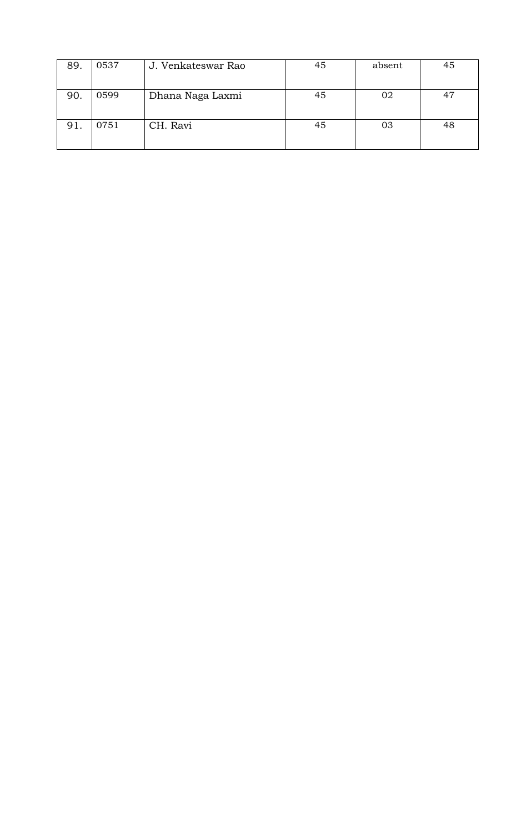| 89. | 0537 | J. Venkateswar Rao | 45 | absent | 45 |
|-----|------|--------------------|----|--------|----|
|     |      |                    |    |        |    |
| 90. | 0599 | Dhana Naga Laxmi   | 45 | 02     | 47 |
|     |      |                    |    |        |    |
| 91. | 0751 | CH. Ravi           | 45 | 03     | 48 |
|     |      |                    |    |        |    |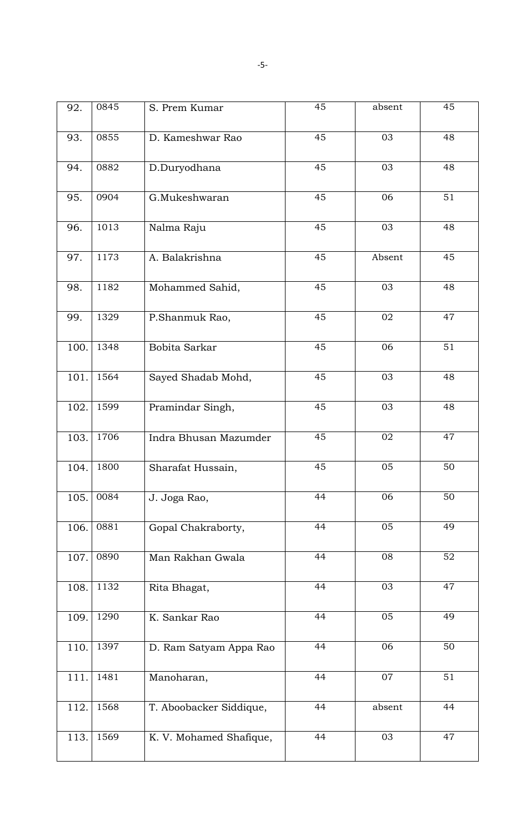| 92.  | 0845 | S. Prem Kumar           | 45 | absent          | 45 |
|------|------|-------------------------|----|-----------------|----|
| 93.  | 0855 | D. Kameshwar Rao        | 45 | 03              | 48 |
| 94.  | 0882 | D.Duryodhana            | 45 | 03              | 48 |
| 95.  | 0904 | G.Mukeshwaran           | 45 | 06              | 51 |
| 96.  | 1013 | Nalma Raju              | 45 | 03              | 48 |
| 97.  | 1173 | A. Balakrishna          | 45 | Absent          | 45 |
| 98.  | 1182 | Mohammed Sahid,         | 45 | 03              | 48 |
| 99.  | 1329 | P.Shanmuk Rao,          | 45 | 02              | 47 |
| 100. | 1348 | Bobita Sarkar           | 45 | 06              | 51 |
| 101. | 1564 | Sayed Shadab Mohd,      | 45 | 03              | 48 |
| 102. | 1599 | Pramindar Singh,        | 45 | 03              | 48 |
| 103. | 1706 | Indra Bhusan Mazumder   | 45 | 02              | 47 |
| 104. | 1800 | Sharafat Hussain,       | 45 | 05              | 50 |
| 105. | 0084 | J. Joga Rao,            | 44 | 06              | 50 |
| 106. | 0881 | Gopal Chakraborty,      | 44 | $\overline{05}$ | 49 |
| 107. | 0890 | Man Rakhan Gwala        | 44 | 08              | 52 |
| 108. | 1132 | Rita Bhagat,            | 44 | 03              | 47 |
| 109. | 1290 | K. Sankar Rao           | 44 | 05              | 49 |
| 110. | 1397 | D. Ram Satyam Appa Rao  | 44 | 06              | 50 |
| 111. | 1481 | Manoharan,              | 44 | 07              | 51 |
| 112. | 1568 | T. Aboobacker Siddique, | 44 | absent          | 44 |
| 113. | 1569 | K. V. Mohamed Shafique, | 44 | 03              | 47 |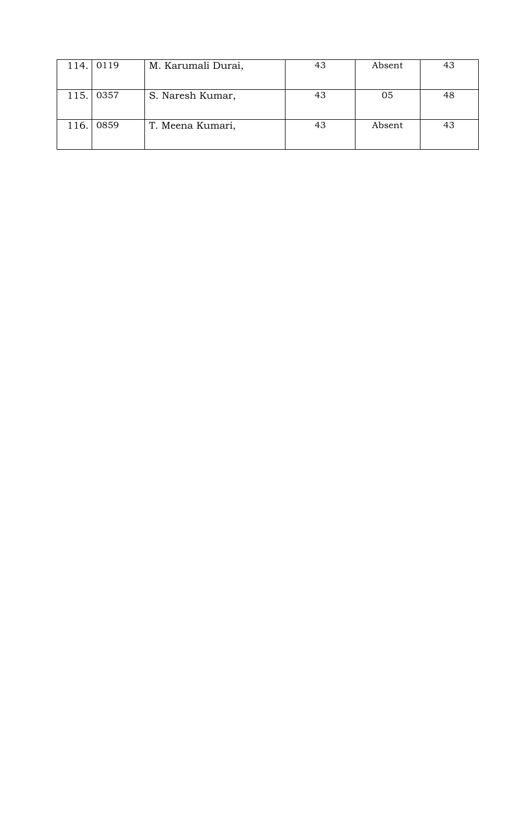| 114. l | 0119 | M. Karumali Durai, | 43 | Absent | 43 |
|--------|------|--------------------|----|--------|----|
|        |      |                    |    |        |    |
| 115.   | 0357 | S. Naresh Kumar,   | 43 | 05     | 48 |
|        |      |                    |    |        |    |
| 116.   | 0859 | T. Meena Kumari,   | 43 | Absent | 43 |
|        |      |                    |    |        |    |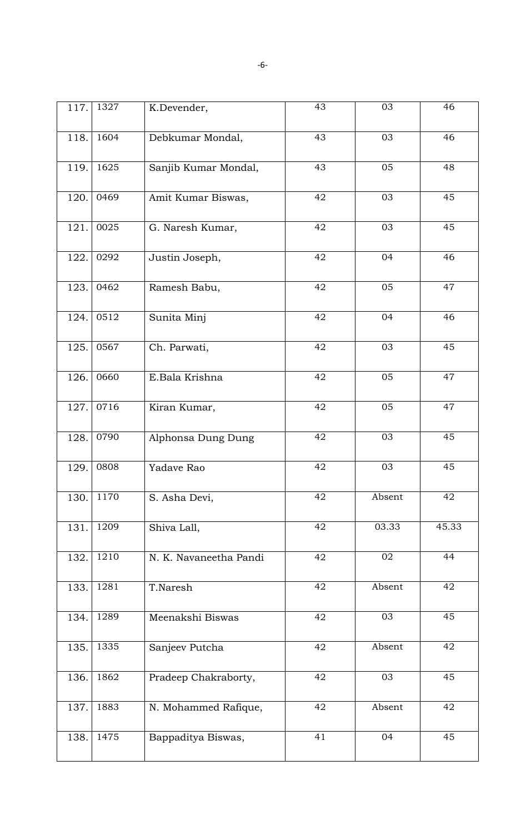| 117. | 1327 | K.Devender,            | 43 | 03     | 46    |
|------|------|------------------------|----|--------|-------|
| 118. | 1604 | Debkumar Mondal,       | 43 | 03     | 46    |
| 119. | 1625 | Sanjib Kumar Mondal,   | 43 | 05     | 48    |
| 120. | 0469 | Amit Kumar Biswas,     | 42 | 03     | 45    |
| 121. | 0025 | G. Naresh Kumar,       | 42 | 03     | 45    |
| 122. | 0292 | Justin Joseph,         | 42 | 04     | 46    |
| 123. | 0462 | Ramesh Babu,           | 42 | 05     | 47    |
| 124. | 0512 | Sunita Minj            | 42 | 04     | 46    |
| 125. | 0567 | Ch. Parwati,           | 42 | 03     | 45    |
| 126. | 0660 | E.Bala Krishna         | 42 | 05     | 47    |
| 127. | 0716 | Kiran Kumar,           | 42 | 05     | 47    |
| 128. | 0790 | Alphonsa Dung Dung     | 42 | 03     | 45    |
| 129. | 0808 | Yadave Rao             | 42 | 03     | 45    |
| 130. | 1170 | S. Asha Devi,          | 42 | Absent | 42    |
| 131. | 1209 | Shiva Lall,            | 42 | 03.33  | 45.33 |
| 132. | 1210 | N. K. Navaneetha Pandi | 42 | 02     | 44    |
| 133. | 1281 | T.Naresh               | 42 | Absent | 42    |
| 134. | 1289 | Meenakshi Biswas       | 42 | 03     | 45    |
| 135. | 1335 | Sanjeev Putcha         | 42 | Absent | 42    |
| 136. | 1862 | Pradeep Chakraborty,   | 42 | 03     | 45    |
| 137. | 1883 | N. Mohammed Rafique,   | 42 | Absent | 42    |
| 138. | 1475 | Bappaditya Biswas,     | 41 | 04     | 45    |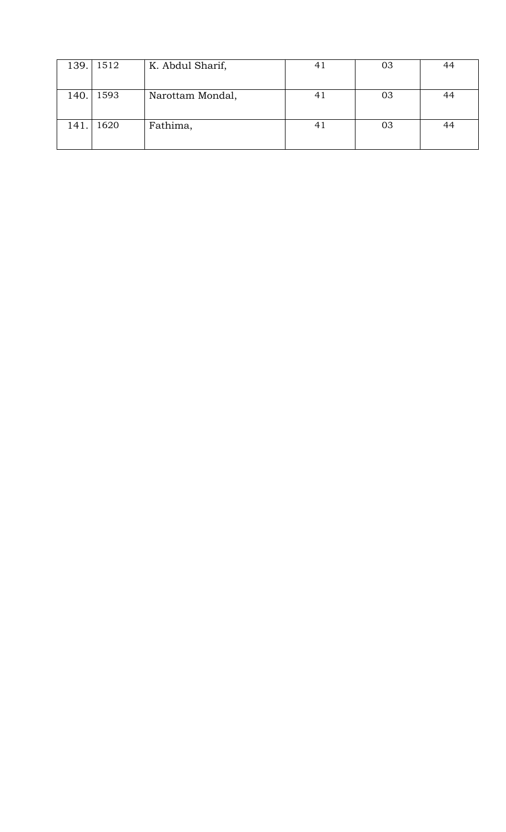| 139. | 1512 | K. Abdul Sharif, | 4. | 03 | 44 |
|------|------|------------------|----|----|----|
|      |      |                  |    |    |    |
| 140. | 1593 | Narottam Mondal, | 41 | 03 | 44 |
|      |      |                  |    |    |    |
| 141. | 1620 | Fathima,         | 4. | 03 | 44 |
|      |      |                  |    |    |    |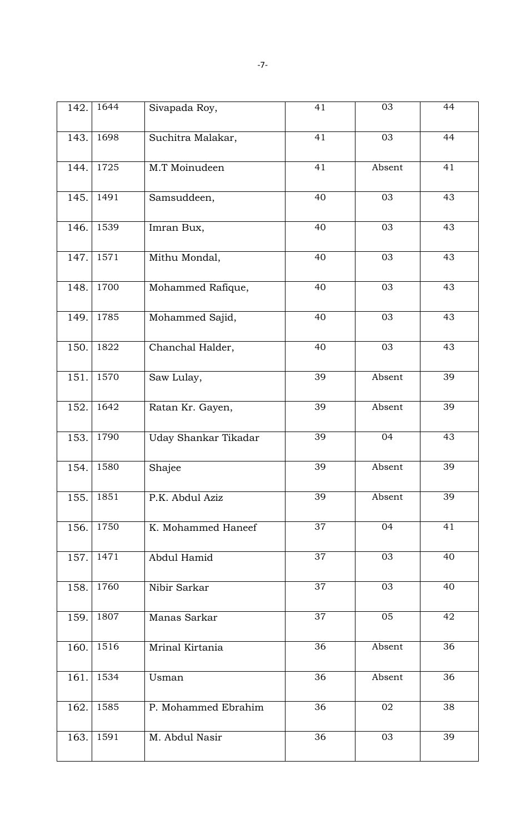| 142. | 1644 | Sivapada Roy,        | 41              | 03     | 44 |
|------|------|----------------------|-----------------|--------|----|
| 143. | 1698 | Suchitra Malakar,    | 41              | 03     | 44 |
| 144. | 1725 | M.T Moinudeen        | 41              | Absent | 41 |
| 145. | 1491 | Samsuddeen,          | 40              | 03     | 43 |
| 146. | 1539 | Imran Bux,           | 40              | 03     | 43 |
| 147. | 1571 | Mithu Mondal,        | 40              | 03     | 43 |
| 148. | 1700 | Mohammed Rafique,    | 40              | 03     | 43 |
| 149. | 1785 | Mohammed Sajid,      | 40              | 03     | 43 |
| 150. | 1822 | Chanchal Halder,     | 40              | 03     | 43 |
| 151. | 1570 | Saw Lulay,           | 39              | Absent | 39 |
| 152. | 1642 | Ratan Kr. Gayen,     | 39              | Absent | 39 |
| 153. | 1790 | Uday Shankar Tikadar | $\overline{39}$ | 04     | 43 |
| 154. | 1580 | Shajee               | 39              | Absent | 39 |
| 155. | 1851 | P.K. Abdul Aziz      | $\overline{39}$ | Absent | 39 |
| 156. | 1750 | K. Mohammed Haneef   | 37              | 04     | 41 |
| 157. | 1471 | Abdul Hamid          | 37              | 03     | 40 |
| 158. | 1760 | Nibir Sarkar         | 37              | 03     | 40 |
| 159. | 1807 | Manas Sarkar         | 37              | 05     | 42 |
| 160. | 1516 | Mrinal Kirtania      | 36              | Absent | 36 |
| 161. | 1534 | Usman                | 36              | Absent | 36 |
| 162. | 1585 | P. Mohammed Ebrahim  | 36              | 02     | 38 |
| 163. | 1591 | M. Abdul Nasir       | 36              | 03     | 39 |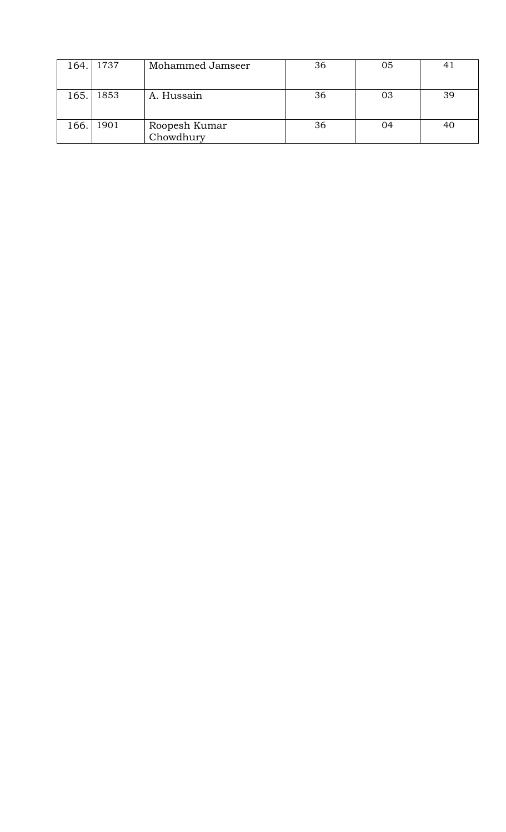| 164. | 1737 | Mohammed Jamseer           | 36 | 05 |    |
|------|------|----------------------------|----|----|----|
| 165. | 1853 | A. Hussain                 | 36 | 03 | 39 |
| 166. | 1901 | Roopesh Kumar<br>Chowdhury | 36 | 04 |    |